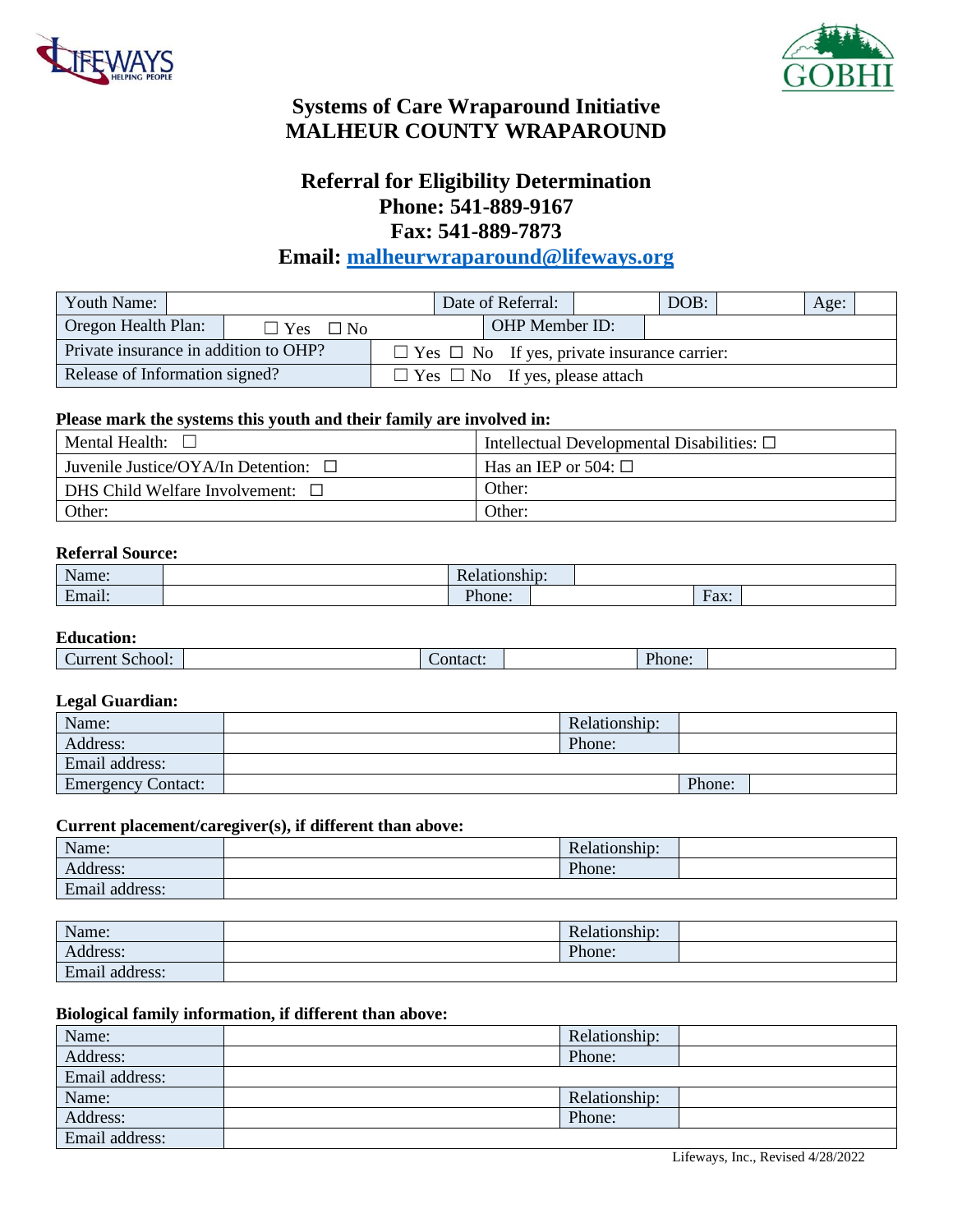



# **Systems of Care Wraparound Initiative MALHEUR COUNTY WRAPAROUND**

## **Referral for Eligibility Determination Phone: 541-889-9167 Fax: 541-889-7873**

## **Email: [malheurwraparound@lifeways.org](mailto:malheurwraparound@lifeways.org)**

| Youth Name:                           |  |                                                         |                                            |  | Date of Referral: | DOB: |  | Age: |  |
|---------------------------------------|--|---------------------------------------------------------|--------------------------------------------|--|-------------------|------|--|------|--|
| Oregon Health Plan:                   |  | $\Box$ Yes<br>$\Box$ No                                 |                                            |  | OHP Member ID:    |      |  |      |  |
| Private insurance in addition to OHP? |  | $\Box$ Yes $\Box$ No If yes, private insurance carrier: |                                            |  |                   |      |  |      |  |
| Release of Information signed?        |  |                                                         | $\Box$ Yes $\Box$ No If yes, please attach |  |                   |      |  |      |  |

### **Please mark the systems this youth and their family are involved in:**

| Mental Health:                            | Intellectual Developmental Disabilities: $\Box$ |
|-------------------------------------------|-------------------------------------------------|
| Juvenile Justice/OYA/In Detention: $\Box$ | Has an IEP or 504: $\Box$                       |
| DHS Child Welfare Involvement: $\Box$     | Other:                                          |
| Other:                                    | Other:                                          |

#### **Referral Source:**

| Name <sup>.</sup><br>LLIC.                                | <b>D</b>              |                                  |  |
|-----------------------------------------------------------|-----------------------|----------------------------------|--|
| $\bullet$ $\bullet$<br>$\overline{\phantom{0}}$<br>Email: | $\mathbf{D}$<br>hone: | $\overline{\text{h}}$ ax:<br>. . |  |

#### **Education:**

| Current School: | `ontact: | Phone: |  |
|-----------------|----------|--------|--|
|                 |          |        |  |

### **Legal Guardian:**

| $\tilde{\phantom{a}}$     |               |        |  |
|---------------------------|---------------|--------|--|
| Name:                     | Relationship: |        |  |
| Address:                  | Phone:        |        |  |
| Email address:            |               |        |  |
| <b>Emergency Contact:</b> |               | Phone: |  |

#### **Current placement/caregiver(s), if different than above:**

| Name:                          | $\sim$<br>Relationship: |  |
|--------------------------------|-------------------------|--|
| $-1.1$<br>Address:             | Phone:                  |  |
| address:<br>$\bullet$<br>Email |                         |  |

| Name:                             | . .<br>Relationship: |  |
|-----------------------------------|----------------------|--|
| Address:                          | Phone:               |  |
| $\cdot$ $\cdot$<br>Email address: |                      |  |

#### **Biological family information, if different than above:**

| Name:          | Relationship: |  |
|----------------|---------------|--|
| Address:       | Phone:        |  |
| Email address: |               |  |
| Name:          | Relationship: |  |
| Address:       | Phone:        |  |
| Email address: |               |  |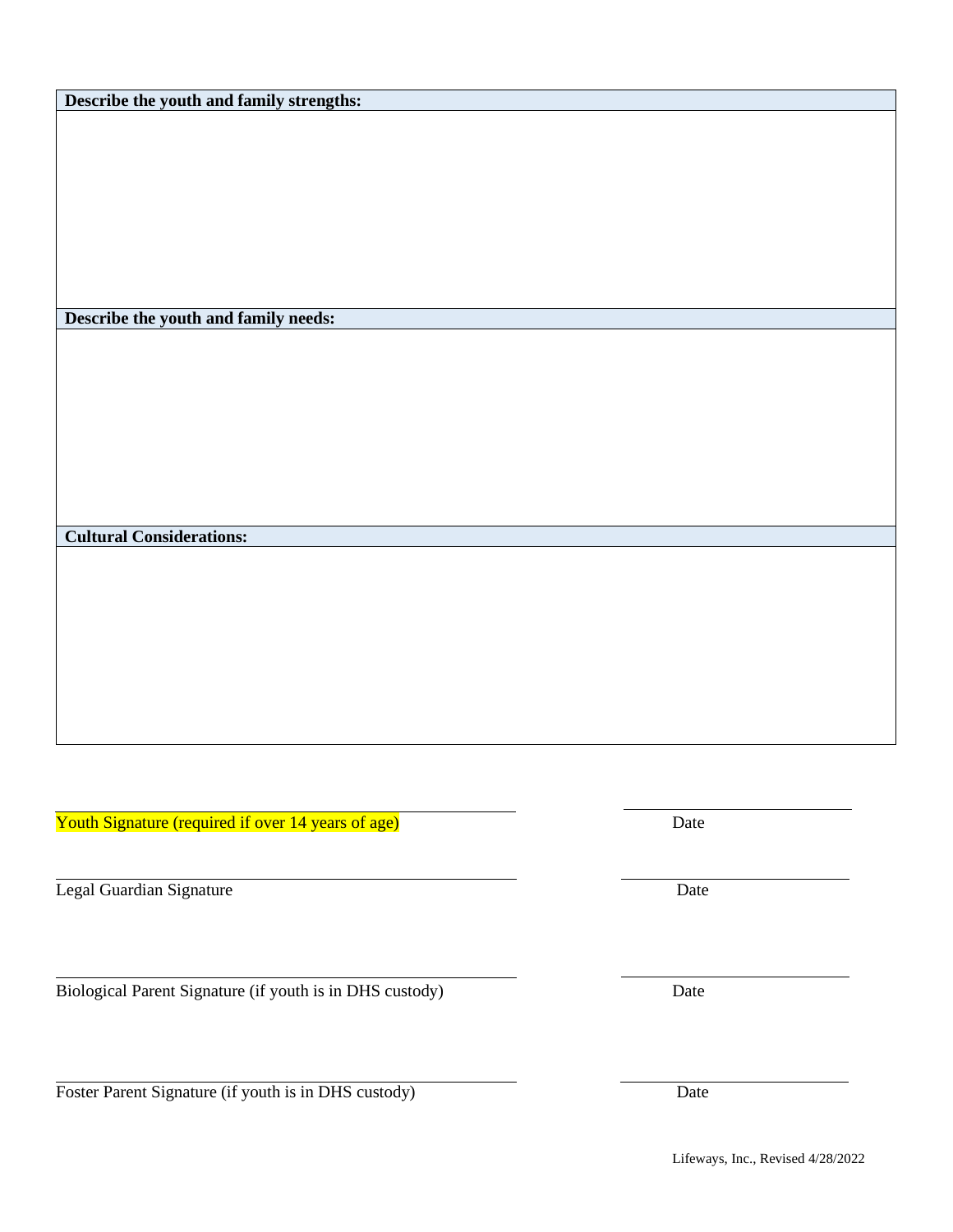**Describe the youth and family strengths:**

**Describe the youth and family needs:**

Youth Signature (required if over 14 years of age) Date

Legal Guardian Signature Date

**Cultural Considerations:**

Biological Parent Signature (if youth is in DHS custody) Date

Foster Parent Signature (if youth is in DHS custody) Date

Lifeways, Inc., Revised 4/28/2022